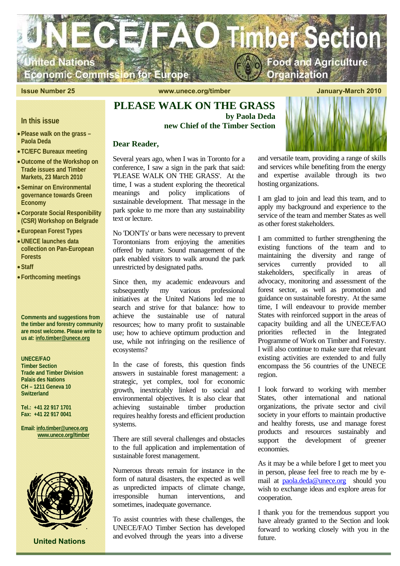

**Issue Number 25 and 2010** www.unece.org/timber January-March 2010

# **PLEASE WALK ON THE GRASS by Paola Deda new Chief of the Timber Section**

## **Dear Reader,**

Several years ago, when I was in Toronto for a conference, I saw a sign in the park that said: 'PLEASE WALK ON THE GRASS'. At the time, I was a student exploring the theoretical meanings and policy implications of sustainable development. That message in the park spoke to me more than any sustainability text or lecture.

No 'DON'Ts' or bans were necessary to prevent Torontonians from enjoying the amenities offered by nature. Sound management of the park enabled visitors to walk around the park unrestricted by designated paths.

Since then, my academic endeavours and subsequently my various professional initiatives at the United Nations led me to search and strive for that balance: how to achieve the sustainable use of natural resources; how to marry profit to sustainable use; how to achieve optimum production and use, while not infringing on the resilience of ecosystems?

In the case of forests, this question finds answers in sustainable forest management: a strategic, yet complex, tool for economic growth, inextricably linked to social and environmental objectives. It is also clear that achieving sustainable timber production requires healthy forests and efficient production systems.

There are still several challenges and obstacles to the full application and implementation of sustainable forest management.

Numerous threats remain for instance in the form of natural disasters, the expected as well as unpredicted impacts of climate change, irresponsible human interventions, and sometimes, inadequate governance.

To assist countries with these challenges, the UNECE/FAO Timber Section has developed and evolved through the years into a diverse

and versatile team, providing a range of skills and services while benefiting from the energy and expertise available through its two hosting organizations.

I am glad to join and lead this team, and to apply my background and experience to the service of the team and member States as well as other forest stakeholders.

I am committed to further strengthening the existing functions of the team and to maintaining the diversity and range of services currently provided to all stakeholders, specifically in areas of advocacy, monitoring and assessment of the forest sector, as well as promotion and guidance on sustainable forestry. At the same time, I will endeavour to provide member States with reinforced support in the areas of capacity building and all the UNECE/FAO priorities reflected in the Integrated Programme of Work on Timber and Forestry. I will also continue to make sure that relevant existing activities are extended to and fully encompass the 56 countries of the UNECE region.

I look forward to working with member States, other international and national organizations, the private sector and civil society in your efforts to maintain productive and healthy forests, use and manage forest products and resources sustainably and support the development of greener economies.

As it may be a while before I get to meet you in person, please feel free to reach me by email at paola.deda@unece.org should you wish to exchange ideas and explore areas for cooperation.

I thank you for the tremendous support you have already granted to the Section and look forward to working closely with you in the future.

**In this issue** 

- •**Please walk on the grass Paola Deda**
- **TC/EFC Bureaux meeting**
- •**Outcome of the Workshop on Trade issues and Timber Markets, 23 March 2010**
- •**Seminar on Environmental governance towards Green Economy**
- •**Corporate Social Responibility (CSR) Workshop on Belgrade**
- •**European Forest Types**
- •**UNECE launches data collection on Pan-European Forests**
- •**Staff**
- **Forthcoming meetings**

**Comments and suggestions from the timber and forestry community are most welcome. Please write to us at: info.timber@unece.org**

**UNECE/FAO Timber Section Trade and Timber Division Palais des Nations CH – 1211 Geneva 10** 

**Tel.: +41 22 917 1701 Fax: +41 22 917 0041** 

**Switzerland** 

**Email: info.timber@unece.org www.unece.org//timber**



 **United Nations**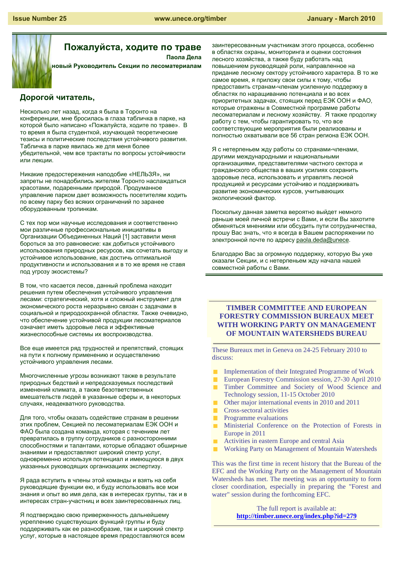

**Пожалуйста, ходите по траве Паола Дела**

**новый Руководитель Секции по лесоматериалам**

# **Дорогой читатель,**

Несколько лет назад, когда я была в Торонто на конференции, мне бросилась в глаза табличка в парке, на которой было написано «Пожалуйста, ходите по траве». В то время я была студенткой, изучающей теоретические тезисы и политические последствия устойчивого развития. Табличка в парке явилась же для меня более убедительной, чем все трактаты по вопросы устойчивости или лекции.

Никакие предостережения наподобие «НЕЛЬЗЯ», ни запреты не понадобились жителям Торонто наслаждаться красотами, подаренными природой. Продуманное управление парком дает возможность посетителям ходить по всему парку без всяких ограничений по заранее оборудованным тропинкам.

С тех пор мои научные исследования и соответственно мои различные профессиональные инициативы в Организации Объединенных Наций [1] заставили меня бороться за это равновесие: как добиться устойчивого использования природных ресурсов, как сочетать выгоду и устойчивое использование, как достичь оптимальной продуктивности и использования и в то же время не ставя под угрозу экосистемы?

В том, что касается лесов, данный проблема находит решения путем обеспечения устойчивого управления лесами: стратегический, хотя и сложный инструмент для экономического роста неразрывно связан с задачами в социальной и природоохранной областях. Также очевидно, что обеспечение устойчивой продукции лесоматериалов означает иметь здоровые леса и эффективные жизнеспособные системы их воспроизводства.

Все еще имеется ряд трудностей и препятствий, стоящих на пути к полному применению и осуществлению устойчивого управления лесами.

Многочисленные угрозы возникают также в результате природных бедствий и непредсказуемых последствий изменений климата, а также безответственных вмешательств людей в указанные сферы и, в некоторых случаях, неадекватного руководства.

Для того, чтобы оказать содействие странам в решении этих проблем, Секцией по лесоматериалам ЕЭК ООН и ФАО была создана команда, которая с течением лет превратилась в группу сотрудников с разносторонними способностями и талантами, которые обладают обширные знаниями и предоставляют широкий спектр услуг, одновременно используя потенциал и имеющуюся в двух указанных руководящих организациях экспертизу.

Я рада вступить в члены этой команды и взять на себя руководящие функции ею, и буду использовать все мои знания и опыт во имя дела, как в интересах группы, так и в интересах стран-участниц и всех заинтересованных лиц.

Я подтверждаю свою приверженность дальнейшему укреплению существующих функций группы и буду поддерживать как ее разнообразие, так и широкий спектр услуг, которые в настоящее время предоставляются всем заинтересованным участникам этого процесса, особенно в областях охраны, мониторинга и оценки состояния лесного хозяйства, а также буду работать над повышением руководящей роли, направленное на придание лесному сектору устойчивого характера. В то же самое время, я приложу свои силы к тому, чтобы предоставить странам-членам усиленную поддержку в областях по наращиванию потенциала и во всех приоритетных задачах, стоящих перед ЕЭК ООН и ФАО, которые отражены в Совместной программе работы лесоматериалам и лесному хозяйству. Я также продолжу работу с тем, чтобы гарантировать то, что все соответствующие мероприятия были реализованы и полностью охватывали все 56 стран региона ЕЭК ООН.

Я с нетерпеньем жду работы со странами-членами, другими международными и национальными организациями, представителями частного сектора и гражданского общества в ваших усилиях сохранить здоровые леса, использовать и управлять лесной продукцией и ресурсами устойчиво и поддерживать развитие экономических курсов, учитывающих экологический фактор.

Поскольку данная заметка вероятно выйдет немного раньше моей личной встречи с Вами, и если Вы захотите обменяться мнениями или обсудить пути сотрудничества, прошу Вас знать, что я всегда в Вашем распоряжении по электронной почте по адресу paola.deda@unece.

Благодарю Вас за огромную поддержку, которую Вы уже оказали Секции, и с нетерпеньем жду начала нашей совместной работы с Вами.

## **TIMBER COMMITTEE AND EUROPEAN FORESTRY COMMISSION BUREAUX MEET WITH WORKING PARTY ON MANAGEMENT OF MOUNTAIN WATERSHEDS BUREAU**

These Bureaux met in Geneva on 24-25 February 2010 to discuss:

- $\blacksquare$ Implementation of their Integrated Programme of Work
- European Forestry Commission session, 27-30 April 2010
- Timber Committee and Society of Wood Science and Technology session, 11-15 October 2010
- Other major international events in 2010 and 2011  $\blacksquare$
- Cross-sectoral activities
- $\blacksquare$ Programme evaluations
- Ministerial Conference on the Protection of Forests in Europe in 2011
- Activities in eastern Europe and central Asia
- Working Party on Management of Mountain Watersheds

This was the first time in recent history that the Bureau of the EFC and the Working Party on the Management of Mountain Watersheds has met. The meeting was an opportunity to form closer coordination, especially in preparing the "Forest and water" session during the forthcoming EFC.

> The full report is available at: **http://timber.unece.org/index.php?id=279**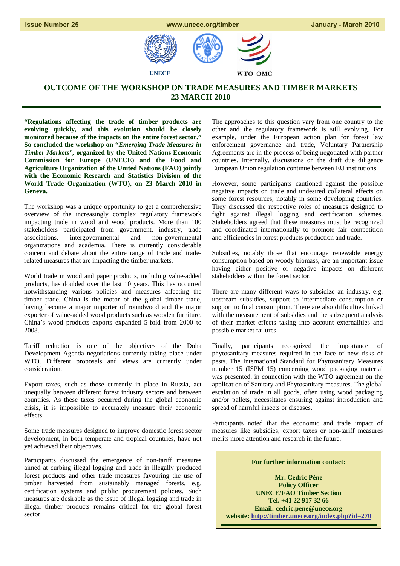



# **OUTCOME OF THE WORKSHOP ON TRADE MEASURES AND TIMBER MARKETS 23 MARCH 2010**

**"Regulations affecting the trade of timber products are evolving quickly, and this evolution should be closely monitored because of the impacts on the entire forest sector." So concluded the workshop on "***Emerging Trade Measures in Timber Markets",* **organized by the United Nations Economic Commission for Europe (UNECE) and the Food and Agriculture Organization of the United Nations (FAO) jointly with the Economic Research and Statistics Division of the World Trade Organization (WTO), on 23 March 2010 in Geneva.** 

The workshop was a unique opportunity to get a comprehensive overview of the increasingly complex regulatory framework impacting trade in wood and wood products. More than 100 stakeholders participated from government, industry, trade associations, intergovernmental and non-governmental organizations and academia. There is currently considerable concern and debate about the entire range of trade and traderelated measures that are impacting the timber markets.

World trade in wood and paper products, including value-added products, has doubled over the last 10 years. This has occurred notwithstanding various policies and measures affecting the timber trade. China is the motor of the global timber trade, having become a major importer of roundwood and the major exporter of value-added wood products such as wooden furniture. China's wood products exports expanded 5-fold from 2000 to 2008.

Tariff reduction is one of the objectives of the Doha Development Agenda negotiations currently taking place under WTO. Different proposals and views are currently under consideration.

Export taxes, such as those currently in place in Russia, act unequally between different forest industry sectors and between countries. As these taxes occurred during the global economic crisis, it is impossible to accurately measure their economic effects.

Some trade measures designed to improve domestic forest sector development, in both temperate and tropical countries, have not yet achieved their objectives.

Participants discussed the emergence of non-tariff measures aimed at curbing illegal logging and trade in illegally produced forest products and other trade measures favouring the use of timber harvested from sustainably managed forests, e.g. certification systems and public procurement policies. Such measures are desirable as the issue of illegal logging and trade in illegal timber products remains critical for the global forest sector.

The approaches to this question vary from one country to the other and the regulatory framework is still evolving. For example, under the European action plan for forest law enforcement governance and trade, Voluntary Partnership Agreements are in the process of being negotiated with partner countries. Internally, discussions on the draft due diligence European Union regulation continue between EU institutions.

However, some participants cautioned against the possible negative impacts on trade and undesired collateral effects on some forest resources, notably in some developing countries. They discussed the respective roles of measures designed to fight against illegal logging and certification schemes. Stakeholders agreed that these measures must be recognized and coordinated internationally to promote fair competition and efficiencies in forest products production and trade.

Subsidies, notably those that encourage renewable energy consumption based on woody biomass, are an important issue having either positive or negative impacts on different stakeholders within the forest sector.

There are many different ways to subsidize an industry, e.g. upstream subsidies, support to intermediate consumption or support to final consumption. There are also difficulties linked with the measurement of subsidies and the subsequent analysis of their market effects taking into account externalities and possible market failures.

Finally, participants recognized the importance of phytosanitary measures required in the face of new risks of pests. The International Standard for Phytosanitary Measures number 15 (ISPM 15) concerning wood packaging material was presented, in connection with the WTO agreement on the application of Sanitary and Phytosanitary measures. The global escalation of trade in all goods, often using wood packaging and/or pallets, necessitates ensuring against introduction and spread of harmful insects or diseases.

Participants noted that the economic and trade impact of measures like subsidies, export taxes or non-tariff measures merits more attention and research in the future.

**For further information contact:** 

**Mr. Cedric Pène Policy Officer UNECE/FAO Timber Section Tel. +41 22 917 32 66 Email: cedric.pene@unece.org website: http://timber.unece.org/index.php?id=270**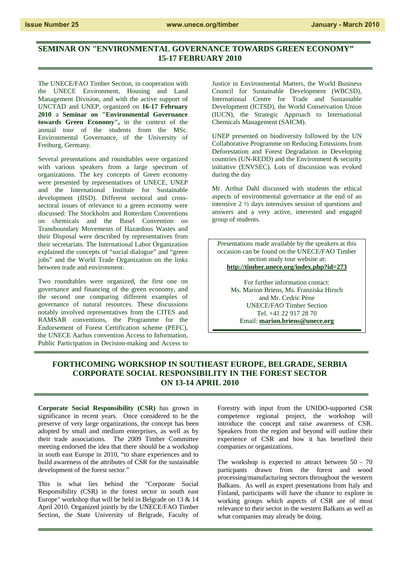# **SEMINAR ON "ENVIRONMENTAL GOVERNANCE TOWARDS GREEN ECONOMY" 15-17 FEBRUARY 2010**

The UNECE/FAO Timber Section, in cooperation with the UNECE Environment, Housing and Land Management Division, and with the active support of UNCTAD and UNEP, organized on **16-17 February 2010** a **Seminar on "Environmental Governance towards Green Economy",** in the context of the annual tour of the students from the MSc. Environmental Governance, of the University of Freiburg, Germany.

Several presentations and roundtables were organized with various speakers from a large spectrum of organizations. The key concepts of Green economy were presented by representatives of UNECE, UNEP and the International Institute for Sustainable development (IISD). Different sectoral and crosssectoral issues of relevance to a green economy were discussed: The Stockholm and Rotterdam Conventions on chemicals and the Basel Convention on Transboundary Movements of Hazardous Wastes and their Disposal were described by representatives from their secretariats. The International Labor Organization explained the concepts of "social dialogue" and "green jobs" and the World Trade Organization on the links between trade and environment.

Two roundtables were organized, the first one on governance and financing of the green economy, and the second one comparing different examples of governance of natural resources. These discussions notably involved representatives from the CITES and RAMSAR conventions, the Programme for the Endorsement of Forest Certification scheme (PEFC), the UNECE Aarhus convention Access to Information, Public Participation in Decision-making and Access to

Justice in Environmental Matters, the World Business Council for Sustainable Development (WBCSD), International Centre for Trade and Sustainable Development (ICTSD), the World Conservation Union (IUCN), the Strategic Approach to International Chemicals Management (SAICM).

UNEP presented on biodiversity followed by the UN Collaborative Programme on Reducing Emissions from Deforestation and Forest Degradation in Developing countries (UN-REDD) and the Environment & security initiative (ENVSEC). Lots of discussion was evoked during the day

Mr. Arthur Dahl discussed with students the ethical aspects of environmental governance at the end of an intensive 2 ½ days intensives session of questions and answers and a very active, interested and engaged group of students.

Presentations made available by the speakers at this occasion can be found on the UNECE/FAO Timber section study tour website at: **http://timber.unece.org/index.php?id=273**

For further information contact: Ms. Marion Briens, Ms. Franziska Hirsch and Mr. Cedric Pène UNECE/FAO Timber Section Tel. +41 22 917 28 70 Email: **marion.briens@unece.org**

## **FORTHCOMING WORKSHOP IN SOUTHEAST EUROPE, BELGRADE, SERBIA CORPORATE SOCIAL RESPONSIBILITY IN THE FOREST SECTOR ON 13-14 APRIL 2010**

**Corporate Social Responsibility (CSR)** has grown in significance in recent years. Once considered to be the preserve of very large organizations, the concept has been adopted by small and medium enterprises, as well as by their trade associations. The 2009 Timber Committee meeting endorsed the idea that there should be a workshop in south east Europe in 2010, "to share experiences and to build awareness of the attributes of CSR for the sustainable development of the forest sector."

This is what lies behind the "Corporate Social Responsibility (CSR) in the forest sector in south east Europe" workshop that will be held in Belgrade on 13 & 14 April 2010. Organized jointly by the UNECE/FAO Timber Section, the State University of Belgrade, Faculty of Forestry with input from the UNIDO-supported CSR competence regional project, the workshop will introduce the concept and raise awareness of CSR. Speakers from the region and beyond will outline their experience of CSR and how it has benefited their companies or organizations.

The workshop is expected to attract between 50 - 70 particpants drawn from the forest and wood processing/manufacturing sectors throughout the western Balkans. As well as expert presentations from Italy and Finland, participants will have the chance to explore in working groups which aspects of CSR are of most relevance to their sector in the western Balkans as well as what companies may already be doing.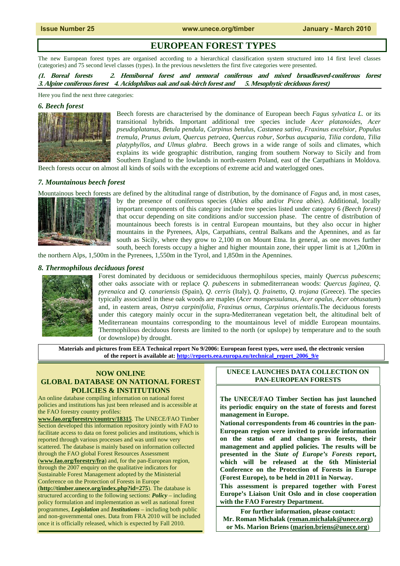# **EUROPEAN FOREST TYPES**

The new European forest types are organised according to a hierarchical classification system structured into 14 first level classes (categories) and 75 second level classes (types). In the previous newsletters the first five categories were presented.

**(1. Boreal forests 2. Hemiboreal forest and nemoral coniferous and mixed broadleaved-coniferous forest 3. Alpine coniferous forest 4. Acidophilous oak and oak-birch forest and 5. Mesophytic deciduous forest)**

Here you find the next three categories:

## *6. Beech forest*



Beech forests are characterised by the dominance of European beech *Fagus sylvatica L.* or its transitional hybrids. Important additional tree species include *Acer platanoides*, *Acer pseudoplatanus, Betula pendula, Carpinus betulus, Castanea sativa, Fraxinus excelsior, Populus tremula, Prunus avium, Quercus petraea, Quercus robur, Sorbus aucuparia, Tilia cordata, Tilia platyphyllos, and Ulmus glabra*. Beech grows in a wide range of soils and climates, which explains its wide geographic distribution, ranging from southern Norway to Sicily and from Southern England to the lowlands in north-eastern Poland, east of the Carpathians in Moldova.

Beech forests occur on almost all kinds of soils with the exceptions of extreme acid and waterlogged ones.

## *7. Mountainous beech forest*

Mountainous beech forests are defined by the altitudinal range of distribution, by the dominance of *Fagus* and, in most cases, by the presence of coniferous species (*Abies alba* and/or *Picea abies*). Additional, locally important components of this category include tree species listed under category 6 *(Beech forest)*  that occur depending on site conditions and/or succession phase. The centre of distribution of mountainous beech forests is in central European mountains, but they also occur in higher mountains in the Pyrenees, Alps, Carpathians, central Balkans and the Apennines, and as far south as Sicily, where they grow to 2,100 m on Mount Etna. In general, as one moves further south, beech forests occupy a higher and higher mountain zone, their upper limit is at 1,200m in

the northern Alps, 1,500m in the Pyrenees, 1,550m in the Tyrol, and 1,850m in the Apennines.

### *8. Thermophilous deciduous forest*



Forest dominated by deciduous or semideciduous thermophilous species, mainly *Quercus pubescens*; other oaks associate with or replace *Q. pubescens* in submediterranean woods: *Quercus faginea*, *Q. pyrenaica* and *Q. canariensis* (Spain), *Q. cerris* (Italy), *Q. frainetto*, *Q. trojana* (Greece). The species typically associated in these oak woods are maples (*Acer monspessulanus*, *Acer opalus*, *Acer obtusatum*) and, in eastern areas, *Ostrya carpinifolia*, *Fraxinus ornus*, *Carpinus orientalis*.The deciduous forests under this category mainly occur in the supra-Mediterranean vegetation belt, the altitudinal belt of Mediterranean mountains corresponding to the mountainous level of middle European mountains. Thermophilous deciduous forests are limited to the north (or upslope) by temperature and to the south (or downslope) by drought.

**Materials and pictures from EEA Technical report No 9/2006: European forest types, were used, the electronic version of the report is available at: http://reports.eea.europa.eu/technical\_report\_2006\_9/e**

## **NOW ONLINE GLOBAL DATABASE ON NATIONAL FOREST POLICIES & INSTITUTIONS**

An online database compiling information on national forest policies and institutions has just been released and is accessible at the FAO forestry country profiles:

**www.fao.org/forestry/country/18315**. The UNECE/FAO Timber Section developed this information repository jointly with FAO to facilitate access to data on forest policies and institutions, which is reported through various processes and was until now very scattered. The database is mainly based on information collected through the FAO global Forest Resources Assessment (**www.fao.org/forestry/fra**) and, for the pan-European region, through the 2007 enquiry on the qualitative indicators for Sustainable Forest Management adopted by the Ministerial Conference on the Protection of Forests in Europe (**http://timber.unece.org/index.php?id=275**). The database is structured according to the following sections: *Policy* – including policy formulation and implementation as well as national forest programmes, *Legislation* and *Institutions* – including both public and non-governmental ones. Data from FRA 2010 will be included

once it is officially released, which is expected by Fall 2010.

## **UNECE LAUNCHES DATA COLLECTION ON PAN-EUROPEAN FORESTS**

**The UNECE/FAO Timber Section has just launched its periodic enquiry on the state of forests and forest management in Europe.** 

**National correspondents from 46 countries in the pan-European region were invited to provide information on the status of and changes in forests, their management and applied policies. The results will be presented in the** *State of Europe's Forests* **report, which will be released at the 6th Ministerial Conference on the Protection of Forests in Europe (Forest Europe), to be held in 2011 in Norway.** 

**This assessment is prepared together with Forest Europe's Liaison Unit Oslo and in close cooperation with the FAO Forestry Department.** 

**For further information, please contact: Mr. Roman Michalak (roman.michalak@unece.org) or Ms. Marion Briens (marion.briens@unece.org**)